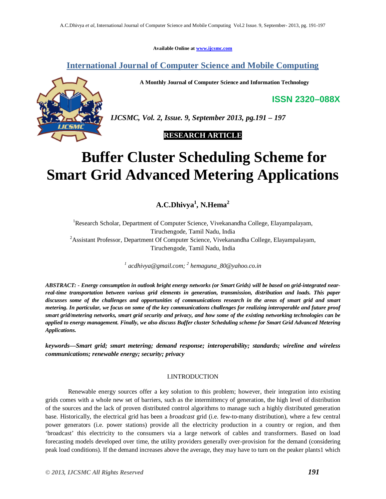**Available Online at www.ijcsmc.com**

**International Journal of Computer Science and Mobile Computing**

**A Monthly Journal of Computer Science and Information Technology**

**ISSN 2320–088X**



*IJCSMC, Vol. 2, Issue. 9, September 2013, pg.191 – 197*

 **RESEARCH ARTICLE**

# **Buffer Cluster Scheduling Scheme for Smart Grid Advanced Metering Applications**

**A.C.Dhivya<sup>1</sup> , N.Hema<sup>2</sup>**

<sup>1</sup>Research Scholar, Department of Computer Science, Vivekanandha College, Elayampalayam, Tiruchengode, Tamil Nadu, India <sup>2</sup>Assistant Professor, Department Of Computer Science, Vivekanandha College, Elayampalayam, Tiruchengode, Tamil Nadu, India

*1 acdhivya@gmail.com; 2 hemaguna\_80@yahoo.co.in*

*ABSTRACT: - Energy consumption in outlook bright energy networks (or Smart Grids) will be based on grid-integrated nearreal-time transportation between various grid elements in generation, transmission, distribution and loads. This paper discusses some of the challenges and opportunities of communications research in the areas of smart grid and smart metering. In particular, we focus on some of the key communications challenges for realizing interoperable and future proof smart grid/metering networks, smart grid security and privacy, and how some of the existing networking technologies can be applied to energy management. Finally, we also discuss Buffer cluster Scheduling scheme for Smart Grid Advanced Metering Applications.*

*keywords—Smart grid; smart metering; demand response; interoperability; standards; wireline and wireless communications; renewable energy; security; privacy*

## I.INTRODUCTION

Renewable energy sources offer a key solution to this problem; however, their integration into existing grids comes with a whole new set of barriers, such as the intermittency of generation, the high level of distribution of the sources and the lack of proven distributed control algorithms to manage such a highly distributed generation base. Historically, the electrical grid has been a *broadcast* grid (i.e. few-to-many distribution), where a few central power generators (i.e. power stations) provide all the electricity production in a country or region, and then 'broadcast' this electricity to the consumers via a large network of cables and transformers. Based on load forecasting models developed over time, the utility providers generally over-provision for the demand (considering peak load conditions). If the demand increases above the average, they may have to turn on the peaker plants1 which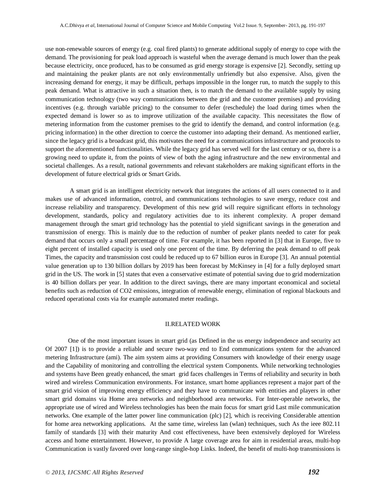use non-renewable sources of energy (e.g. coal fired plants) to generate additional supply of energy to cope with the demand. The provisioning for peak load approach is wasteful when the average demand is much lower than the peak because electricity, once produced, has to be consumed as grid energy storage is expensive [2]. Secondly, setting up and maintaining the peaker plants are not only environmentally unfriendly but also expensive. Also, given the increasing demand for energy, it may be difficult, perhaps impossible in the longer run, to match the supply to this peak demand. What is attractive in such a situation then, is to match the demand to the available supply by using communication technology (two way communications between the grid and the customer premises) and providing incentives (e.g. through variable pricing) to the consumer to defer (reschedule) the load during times when the expected demand is lower so as to improve utilization of the available capacity. This necessitates the flow of metering information from the customer premises to the grid to identify the demand, and control information (e.g. pricing information) in the other direction to coerce the customer into adapting their demand. As mentioned earlier, since the legacy grid is a broadcast grid, this motivates the need for a communications infrastructure and protocols to support the aforementioned functionalities. While the legacy grid has served well for the last century or so, there is a growing need to update it, from the points of view of both the aging infrastructure and the new environmental and societal challenges. As a result, national governments and relevant stakeholders are making significant efforts in the development of future electrical grids or Smart Grids.

A smart grid is an intelligent electricity network that integrates the actions of all users connected to it and makes use of advanced information, control, and communications technologies to save energy, reduce cost and increase reliability and transparency. Development of this new grid will require significant efforts in technology development, standards, policy and regulatory activities due to its inherent complexity. A proper demand management through the smart grid technology has the potential to yield significant savings in the generation and transmission of energy. This is mainly due to the reduction of number of peaker plants needed to cater for peak demand that occurs only a small percentage of time. For example, it has been reported in [3] that in Europe, five to eight percent of installed capacity is used only one percent of the time. By deferring the peak demand to off peak Times, the capacity and transmission cost could be reduced up to 67 billion euros in Europe [3]. An annual potential value generation up to 130 billion dollars by 2019 has been forecast by McKinsey in [4] for a fully deployed smart grid in the US. The work in [5] states that even a conservative estimate of potential saving due to grid modernization is 40 billion dollars per year. In addition to the direct savings, there are many important economical and societal benefits such as reduction of CO2 emissions, integration of renewable energy, elimination of regional blackouts and reduced operational costs via for example automated meter readings.

#### II.RELATED WORK

One of the most important issues in smart grid (as Defined in the us energy independence and security act Of 2007 [1]) is to provide a reliable and secure two-way end to End communications system for the advanced metering Infrastructure (ami). The aim system aims at providing Consumers with knowledge of their energy usage and the Capability of monitoring and controlling the electrical system Components. While networking technologies and systems have Been greatly enhanced, the smart grid faces challenges in Terms of reliability and security in both wired and wireless Communication environments. For instance, smart home appliances represent a major part of the smart grid vision of improving energy efficiency and they have to communicate with entities and players in other smart grid domains via Home area networks and neighborhood area networks. For Inter-operable networks, the appropriate use of wired and Wireless technologies has been the main focus for smart grid Last mile communication networks. One example of the latter power line communication (plc) [2], which is receiving Considerable attention for home area networking applications. At the same time, wireless lan (wlan) techniques, such As the ieee 802.11 family of standards [3] with their maturity And cost effectiveness, have been extensively deployed for Wireless access and home entertainment. However, to provide A large coverage area for aim in residential areas, multi-hop Communication is vastly favored over long-range single-hop Links. Indeed, the benefit of multi-hop transmissions is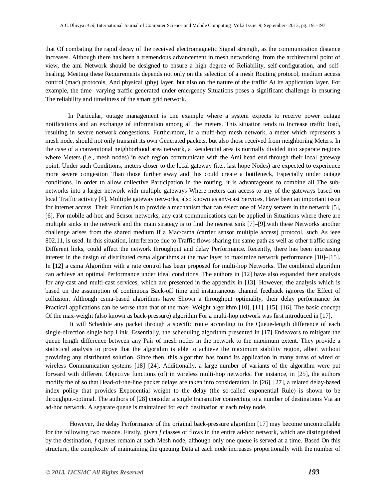that Of combating the rapid decay of the received electromagnetic Signal strength, as the communication distance increases. Although there has been a tremendous advancement in mesh networking, from the architectural point of view, the ami Network should be designed to ensure a high degree of Reliability, self-configuration, and selfhealing. Meeting these Requirements depends not only on the selection of a mesh Routing protocol, medium access control (mac) protocols, And physical (phy) layer, but also on the nature of the traffic At its application layer. For example, the time- varying traffic generated under emergency Situations poses a significant challenge in ensuring The reliability and timeliness of the smart grid network.

In Particular, outage management is one example where a system expects to receive power outage notifications and an exchange of information among all the meters. This situation tends to Increase traffic load, resulting in severe network congestions. Furthermore, in a multi-hop mesh network, a meter which represents a mesh node, should not only transmit its own Generated packets, but also those received from neighboring Meters. In the case of a conventional neighborhood area network, a Residential area is normally divided into separate regions where Meters (i.e., mesh nodes) in each region communicate with the Ami head end through their local gateway point. Under such Conditions, meters closer to the local gateway (i.e., last hope Nodes) are expected to experience more severe congestion Than those further away and this could create a bottleneck, Especially under outage conditions. In order to allow collective Participation in the routing, it is advantageous to combine all The subnetworks into a larger network with multiple gateways Where meters can access to any of the gateways based on local Traffic activity [4]. Multiple gateway networks, also known as any-cast Services, Have been an important issue for internet access. Their Function is to provide a mechanism that can select one of Many servers in the network [5], [6]. For mobile ad-hoc and Sensor networks, any-cast communications can be applied in Situations where there are multiple sinks in the network and the main strategy is to find the nearest sink [7]–[9].with these Networks another challenge arises from the shared medium if a Mac/csma (carrier sensor multiple access) protocol, such As ieee 802.11, is used. In this situation, interference due to Traffic flows sharing the same path as well as other traffic using Different links, could affect the network throughput and delay Performance. Recently, there has been increasing interest in the design of distributed csma algorithms at the mac layer to maximize network performance [10]–[15]. In [12] a csma Algorithm with a rate control has been proposed for multi-hop Networks. The combined algorithm can achieve an optimal Performance under ideal conditions. The authors in [12] have also expanded their analysis for any-cast and multi-cast services, which are presented in the appendix in [13]. However, the analysis which is based on the assumption of continuous Back-off time and instantaneous channel feedback ignores the Effect of collusion. Although csma-based algorithms have Shown a throughput optimality, their delay performance for Practical applications can be worse than that of the max- Weight algorithm [10], [11], [15], [16]. The basic concept Of the max-weight (also known as back-pressure) algorithm For a multi-hop network was first introduced in [17].

It will Schedule any packet through a specific route according to the Queue-length difference of each single-direction single hop Link. Essentially, the scheduling algorithm presented in [17] Endeavors to mitigate the queue length difference between any Pair of mesh nodes in the network to the maximum extent. They provide a statistical analysis to prove that the algorithm is able to achieve the maximum stability region, albeit without providing any distributed solution. Since then, this algorithm has found its application in many areas of wired or wireless Communication systems [18]–[24]. Additionally, a large number of variants of the algorithm were put forward with different Objective functions (of) in wireless multi-hop networks. For instance, in [25], the authors modify the of so that Head-of-the-line packet delays are taken into consideration. In [26], [27], a related delay-based index policy that provides Exponential weight to the delay (the so-called exponential Rule) is shown to be throughput-optimal. The authors of [28] consider a single transmitter connecting to a number of destinations Via an ad-hoc network. A separate queue is maintained for each destination at each relay node.

However, the delay Performance of the original back-pressure algorithm [17] may become uncontrollable for the following two reasons. Firstly, given *f* classes of flows in the entire ad-hoc network, which are distinguished by the destination, *f* queues remain at each Mesh node, although only one queue is served at a time. Based On this structure, the complexity of maintaining the queuing Data at each node increases proportionally with the number of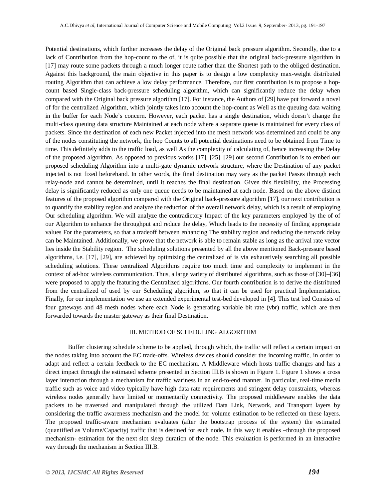Potential destinations, which further increases the delay of the Original back pressure algorithm. Secondly, due to a lack of Contribution from the hop-count to the of, it is quite possible that the original back-pressure algorithm in [17] may route some packets through a much longer route rather than the Shortest path to the obliged destination. Against this background, the main objective in this paper is to design a low complexity max-weight distributed routing Algorithm that can achieve a low delay performance. Therefore, our first contribution is to propose a hopcount based Single-class back-pressure scheduling algorithm, which can significantly reduce the delay when compared with the Original back pressure algorithm [17]. For instance, the Authors of [29] have put forward a novel of for the centralized Algorithm, which jointly takes into account the hop-count as Well as the queuing data waiting in the buffer for each Node's concern. However, each packet has a single destination, which doesn't change the multi-class queuing data structure Maintained at each node where a separate queue is maintained for every class of packets. Since the destination of each new Packet injected into the mesh network was determined and could be any of the nodes constituting the network, the hop Counts to all potential destinations need to be obtained from Time to time. This definitely adds to the traffic load, as well As the complexity of calculating of, hence increasing the Delay of the proposed algorithm. As opposed to previous works [17], [25]–[29] our second Contribution is to embed our proposed scheduling Algorithm into a multi-gate dynamic network structure, where the Destination of any packet injected is not fixed beforehand. In other words, the final destination may vary as the packet Passes through each relay-node and cannot be determined, until it reaches the final destination. Given this flexibility, the Processing delay is significantly reduced as only one queue needs to be maintained at each node. Based on the above distinct features of the proposed algorithm compared with the Original back-pressure algorithm [17], our next contribution is to quantify the stability region and analyze the reduction of the overall network delay, which is a result of employing Our scheduling algorithm. We will analyze the contradictory Impact of the key parameters employed by the of of our Algorithm to enhance the throughput and reduce the delay, Which leads to the necessity of finding appropriate values For the parameters, so that a tradeoff between enhancing The stability region and reducing the network delay can be Maintained. Additionally, we prove that the network is able to remain stable as long as the arrival rate vector lies inside the Stability region. The scheduling solutions presented by all the above mentioned Back-pressure based algorithms, i.e. [17], [29], are achieved by optimizing the centralized of is via exhaustively searching all possible scheduling solutions. These centralized Algorithms require too much time and complexity to implement in the context of ad-hoc wireless communication. Thus, a large variety of distributed algorithms, such as those of [30]–[36] were proposed to apply the featuring the Centralized algorithms. Our fourth contribution is to derive the distributed from the centralized of used by our Scheduling algorithm, so that it can be used for practical Implementation. Finally, for our implementation we use an extended experimental test-bed developed in [4]. This test bed Consists of four gateways and 48 mesh nodes where each Node is generating variable bit rate (vbr) traffic, which are then forwarded towards the master gateway as their final Destination.

### III. METHOD OF SCHEDULING ALGORITHM

Buffer clustering schedule scheme to be applied, through which, the traffic will reflect a certain impact on the nodes taking into account the EC trade-offs. Wireless devices should consider the incoming traffic, in order to adapt and reflect a certain feedback to the EC mechanism. A Middleware which hosts traffic changes and has a direct impact through the estimated scheme presented in Section III.B is shown in Figure 1. Figure 1 shows a cross layer interaction through a mechanism for traffic wariness in an end-to-end manner. In particular, real-time media traffic such as voice and video typically have high data rate requirements and stringent delay constraints, whereas wireless nodes generally have limited or momentarily connectivity. The proposed middleware enables the data packets to be traversed and manipulated through the utilized Data Link, Network, and Transport layers by considering the traffic awareness mechanism and the model for volume estimation to be reflected on these layers. The proposed traffic-aware mechanism evaluates (after the bootstrap process of the system) the estimated (quantified as Volume/Capacity) traffic that is destined for each node. In this way it enables –through the proposed mechanism- estimation for the next slot sleep duration of the node. This evaluation is performed in an interactive way through the mechanism in Section III.B.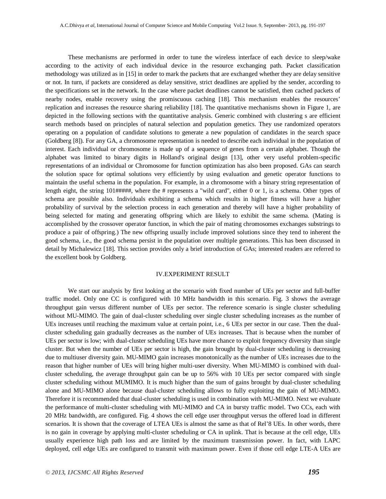These mechanisms are performed in order to tune the wireless interface of each device to sleep/wake according to the activity of each individual device in the resource exchanging path. Packet classification methodology was utilized as in [15] in order to mark the packets that are exchanged whether they are delay sensitive or not. In turn, if packets are considered as delay sensitive, strict deadlines are applied by the sender, according to the specifications set in the network. In the case where packet deadlines cannot be satisfied, then cached packets of nearby nodes, enable recovery using the promiscuous caching [18]. This mechanism enables the resources' replication and increases the resource sharing reliability [18]. The quantitative mechanisms shown in Figure 1, are depicted in the following sections with the quantitative analysis. Generic combined with clustering s are efficient search methods based on principles of natural selection and population genetics. They use randomized operators operating on a population of candidate solutions to generate a new population of candidates in the search space (Goldberg [8]). For any GA, a chromosome representation is needed to describe each individual in the population of interest. Each individual or chromosome is made up of a sequence of genes from a certain alphabet. Though the alphabet was limited to binary digits in Holland's original design [13], other very useful problem-specific representations of an individual or Chromosome for function optimization has also been proposed. GAs can search the solution space for optimal solutions very efficiently by using evaluation and genetic operator functions to maintain the useful schema in the population. For example, in a chromosome with a binary string representation of length eight, the string  $101\# \# \# \#$ , where the # represents a "wild card", either 0 or 1, is a schema. Other types of schema are possible also. Individuals exhibiting a schema which results in higher fitness will have a higher probability of survival by the selection process in each generation and thereby will have a higher probability of being selected for mating and generating offspring which are likely to exhibit the same schema. (Mating is accomplished by the crossover operator function, in which the pair of mating chromosomes exchanges substrings to produce a pair of offspring.) The new offspring usually include improved solutions since they tend to inherent the good schema, i.e., the good schema persist in the population over multiple generations. This has been discussed in detail by Michalewicz [18]. This section provides only a brief introduction of GAs; interested readers are referred to the excellent book by Goldberg.

#### IV.EXPERIMENT RESULT

We start our analysis by first looking at the scenario with fixed number of UEs per sector and full-buffer traffic model. Only one CC is configured with 10 MHz bandwidth in this scenario. Fig. 3 shows the average throughput gain versus different number of UEs per sector. The reference scenario is single cluster scheduling without MU-MIMO. The gain of dual-cluster scheduling over single cluster scheduling increases as the number of UEs increases until reaching the maximum value at certain point, i.e., 6 UEs per sector in our case. Then the dualcluster scheduling gain gradually decreases as the number of UEs increases. That is because when the number of UEs per sector is low; with dual-cluster scheduling UEs have more chance to exploit frequency diversity than single cluster. But when the number of UEs per sector is high, the gain brought by dual-cluster scheduling is decreasing due to multiuser diversity gain. MU-MIMO gain increases monotonically as the number of UEs increases due to the reason that higher number of UEs will bring higher multi-user diversity. When MU-MIMO is combined with dualcluster scheduling, the average throughput gain can be up to 56% with 10 UEs per sector compared with single cluster scheduling without MUMIMO. It is much higher than the sum of gains brought by dual-cluster scheduling alone and MU-MIMO alone because dual-cluster scheduling allows to fully exploiting the gain of MU-MIMO. Therefore it is recommended that dual-cluster scheduling is used in combination with MU-MIMO. Next we evaluate the performance of multi-cluster scheduling with MU-MIMO and CA in bursty traffic model. Two CCs, each with 20 MHz bandwidth, are configured. Fig. 4 shows the cell edge user throughput versus the offered load in different scenarios. It is shown that the coverage of LTEA UEs is almost the same as that of Rel'8 UEs. In other words, there is no gain in coverage by applying multi-cluster scheduling or CA in uplink. That is because at the cell edge, UEs usually experience high path loss and are limited by the maximum transmission power. In fact, with LAPC deployed, cell edge UEs are configured to transmit with maximum power. Even if those cell edge LTE-A UEs are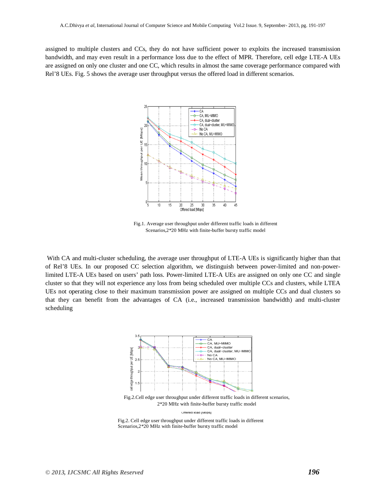assigned to multiple clusters and CCs, they do not have sufficient power to exploits the increased transmission bandwidth, and may even result in a performance loss due to the effect of MPR. Therefore, cell edge LTE-A UEs are assigned on only one cluster and one CC, which results in almost the same coverage performance compared with Rel'8 UEs. Fig. 5 shows the average user throughput versus the offered load in different scenarios.



Fig.1. Average user throughput under different traffic loads in different Scenarios,2\*20 MHz with finite-buffer bursty traffic model

With CA and multi-cluster scheduling, the average user throughput of LTE-A UEs is significantly higher than that of Rel'8 UEs. In our proposed CC selection algorithm, we distinguish between power-limited and non-powerlimited LTE-A UEs based on users' path loss. Power-limited LTE-A UEs are assigned on only one CC and single cluster so that they will not experience any loss from being scheduled over multiple CCs and clusters, while LTEA UEs not operating close to their maximum transmission power are assigned on multiple CCs and dual clusters so that they can benefit from the advantages of CA (i.e., increased transmission bandwidth) and multi-cluster scheduling



Fig.2. Cell edge user throughput under different traffic loads in different Scenarios,2\*20 MHz with finite-buffer bursty traffic model